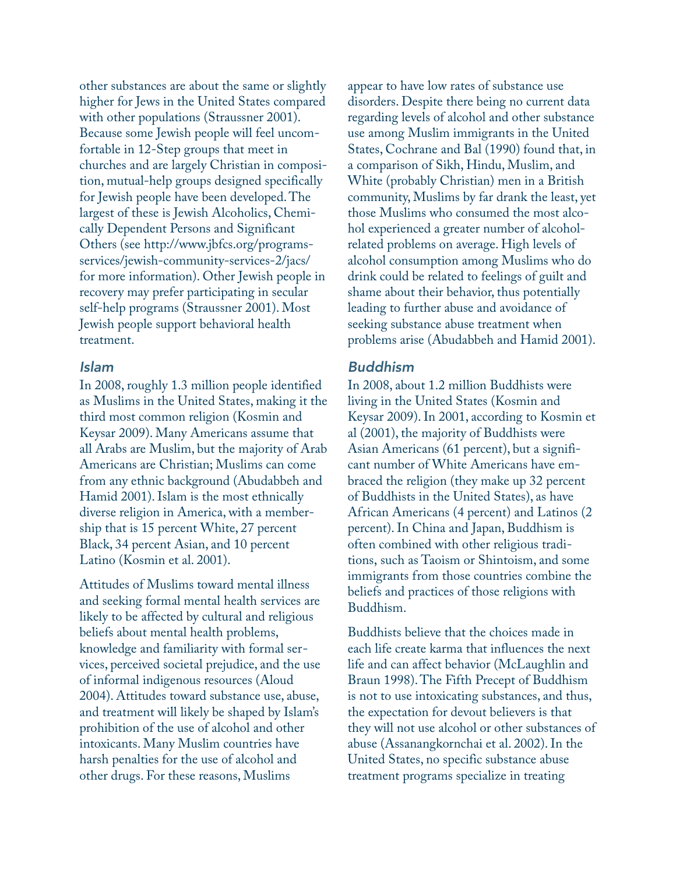other substances are about the same or slightly higher for Jews in the United States compared with other populations (Straussner 2001). Because some Jewish people will feel uncomfortable in 12-Step groups that meet in churches and are largely Christian in composition, mutual-help groups designed specifically for Jewish people have been developed. The largest of these is Jewish Alcoholics, Chemically Dependent Persons and Significant Others (see http://www.jbfcs.org/programsservices/jewish-community-services-2/jacs/ for more information). Other Jewish people in recovery may prefer participating in secular self-help programs (Straussner 2001). Most Jewish people support behavioral health treatment.

## *Islam*

In 2008, roughly 1.3 million people identified as Muslims in the United States, making it the third most common religion (Kosmin and Keysar 2009). Many Americans assume that all Arabs are Muslim, but the majority of Arab Americans are Christian; Muslims can come from any ethnic background (Abudabbeh and Hamid 2001). Islam is the most ethnically diverse religion in America, with a membership that is 15 percent White, 27 percent Black, 34 percent Asian, and 10 percent Latino (Kosmin et al. 2001).

Attitudes of Muslims toward mental illness and seeking formal mental health services are likely to be affected by cultural and religious beliefs about mental health problems, knowledge and familiarity with formal services, perceived societal prejudice, and the use of informal indigenous resources (Aloud 2004). Attitudes toward substance use, abuse, and treatment will likely be shaped by Islam's prohibition of the use of alcohol and other intoxicants. Many Muslim countries have harsh penalties for the use of alcohol and other drugs. For these reasons, Muslims

appear to have low rates of substance use disorders. Despite there being no current data regarding levels of alcohol and other substance use among Muslim immigrants in the United States, Cochrane and Bal (1990) found that, in a comparison of Sikh, Hindu, Muslim, and White (probably Christian) men in a British community, Muslims by far drank the least, yet those Muslims who consumed the most alcohol experienced a greater number of alcoholrelated problems on average. High levels of alcohol consumption among Muslims who do drink could be related to feelings of guilt and shame about their behavior, thus potentially leading to further abuse and avoidance of seeking substance abuse treatment when problems arise (Abudabbeh and Hamid 2001).

## *Buddhism*

In 2008, about 1.2 million Buddhists were living in the United States (Kosmin and Keysar 2009). In 2001, according to Kosmin et al (2001), the majority of Buddhists were Asian Americans (61 percent), but a significant number of White Americans have embraced the religion (they make up 32 percent of Buddhists in the United States), as have African Americans (4 percent) and Latinos (2 percent). In China and Japan, Buddhism is often combined with other religious traditions, such as Taoism or Shintoism, and some immigrants from those countries combine the beliefs and practices of those religions with Buddhism.

Buddhists believe that the choices made in each life create karma that influences the next life and can affect behavior (McLaughlin and Braun 1998). The Fifth Precept of Buddhism is not to use intoxicating substances, and thus, the expectation for devout believers is that they will not use alcohol or other substances of abuse (Assanangkornchai et al. 2002). In the United States, no specific substance abuse treatment programs specialize in treating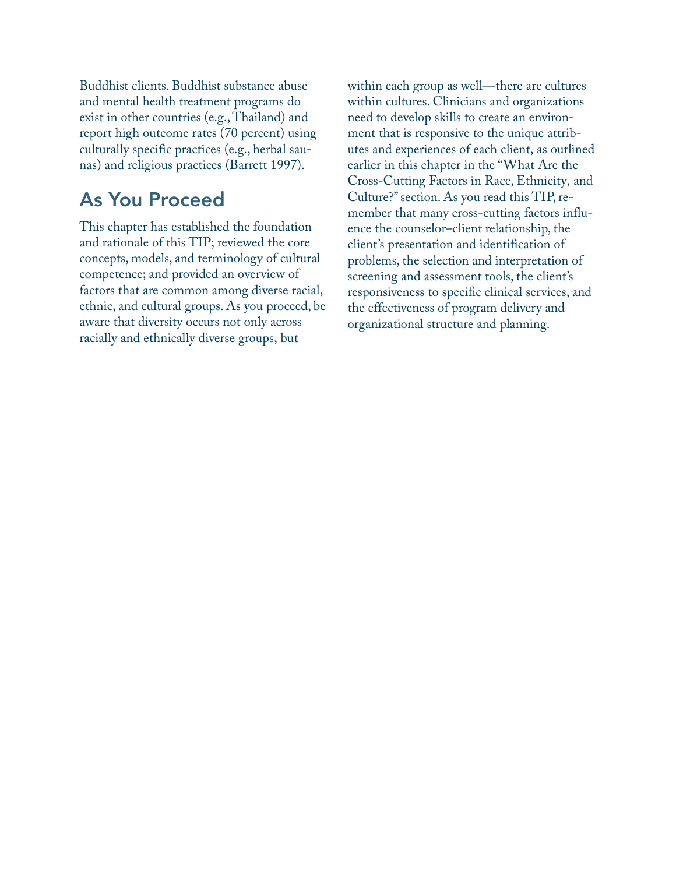Buddhist clients. Buddhist substance abuse and mental health treatment programs do exist in other countries (e.g., Thailand) and report high outcome rates (70 percent) using culturally specific practices (e.g., herbal saunas) and religious practices (Barrett 1997).

## As You Proceed

This chapter has established the foundation and rationale of this TIP; reviewed the core concepts, models, and terminology of cultural competence; and provided an overview of factors that are common among diverse racial, ethnic, and cultural groups. As you proceed, be aware that diversity occurs not only across racially and ethnically diverse groups, but

within each group as well—there are cultures within cultures. Clinicians and organizations need to develop skills to create an environment that is responsive to the unique attributes and experiences of each client, as outlined earlier in this chapter in the "What Are the Cross-Cutting Factors in Race, Ethnicity, and Culture?" section. As you read this TIP, remember that many cross-cutting factors influence the counselor–client relationship, the client's presentation and identification of problems, the selection and interpretation of screening and assessment tools, the client's responsiveness to specific clinical services, and the effectiveness of program delivery and organizational structure and planning.